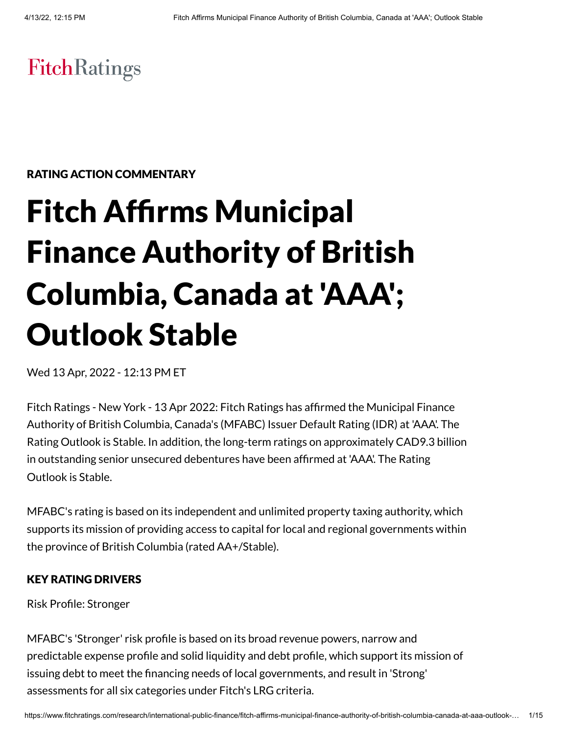# **FitchRatings**

RATING ACTION COMMENTARY

# Fitch Affirms Municipal Finance Authority of British Columbia, Canada at 'AAA'; Outlook Stable

Wed 13 Apr, 2022 - 12:13 PM ET

Fitch Ratings - New York - 13 Apr 2022: Fitch Ratings has affirmed the Municipal Finance Authority of British Columbia, Canada's (MFABC) Issuer Default Rating (IDR) at 'AAA'. The Rating Outlook is Stable. In addition, the long-term ratings on approximately CAD9.3 billion in outstanding senior unsecured debentures have been affirmed at 'AAA'. The Rating Outlook is Stable.

MFABC's rating is based on its independent and unlimited property taxing authority, which supports its mission of providing access to capital for local and regional governments within the province of British Columbia (rated AA+/Stable).

#### KEY RATING DRIVERS

Risk Profile: Stronger

MFABC's 'Stronger' risk profile is based on its broad revenue powers, narrow and predictable expense profile and solid liquidity and debt profile, which support its mission of issuing debt to meet the financing needs of local governments, and result in 'Strong' assessments for all six categories under Fitch's LRG criteria.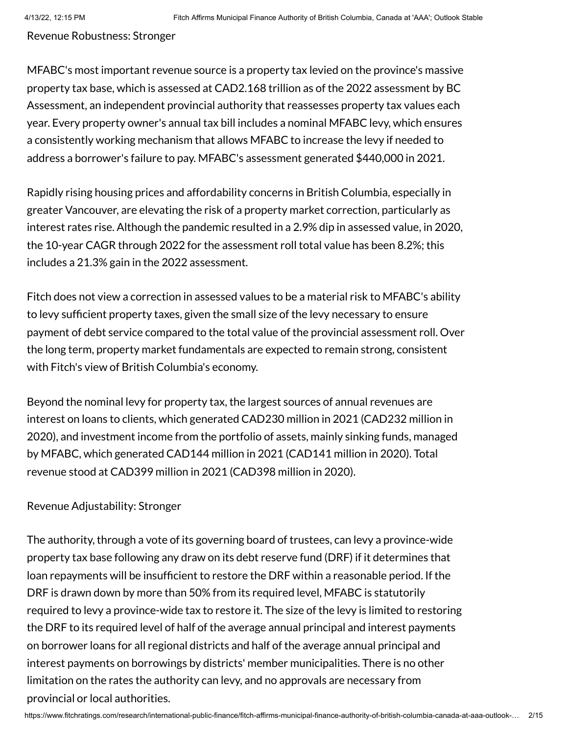Revenue Robustness: Stronger

MFABC's most important revenue source is a property tax levied on the province's massive property tax base, which is assessed at CAD2.168 trillion as of the 2022 assessment by BC Assessment, an independent provincial authority that reassesses property tax values each year. Every property owner's annual tax bill includes a nominal MFABC levy, which ensures a consistently working mechanism that allows MFABC to increase the levy if needed to address a borrower's failure to pay. MFABC's assessment generated \$440,000 in 2021.

Rapidly rising housing prices and affordability concerns in British Columbia, especially in greater Vancouver, are elevating the risk of a property market correction, particularly as interest rates rise. Although the pandemic resulted in a 2.9% dip in assessed value, in 2020, the 10-year CAGR through 2022 for the assessment roll total value has been 8.2%; this includes a 21.3% gain in the 2022 assessment.

Fitch does not view a correction in assessed values to be a material risk to MFABC's ability to levy sufficient property taxes, given the small size of the levy necessary to ensure payment of debt service compared to the total value of the provincial assessment roll. Over the long term, property market fundamentals are expected to remain strong, consistent with Fitch's view of British Columbia's economy.

Beyond the nominal levy for property tax, the largest sources of annual revenues are interest on loans to clients, which generated CAD230 million in 2021 (CAD232 million in 2020), and investment income from the portfolio of assets, mainly sinking funds, managed by MFABC, which generated CAD144 million in 2021 (CAD141 million in 2020). Total revenue stood at CAD399 million in 2021 (CAD398 million in 2020).

#### Revenue Adjustability: Stronger

The authority, through a vote of its governing board of trustees, can levy a province-wide property tax base following any draw on its debt reserve fund (DRF) if it determines that loan repayments will be insufficient to restore the DRF within a reasonable period. If the DRF is drawn down by more than 50% from its required level, MFABC is statutorily required to levy a province-wide tax to restore it. The size of the levy is limited to restoring the DRF to its required level of half of the average annual principal and interest payments on borrower loans for all regional districts and half of the average annual principal and interest payments on borrowings by districts' member municipalities. There is no other limitation on the rates the authority can levy, and no approvals are necessary from provincial or local authorities.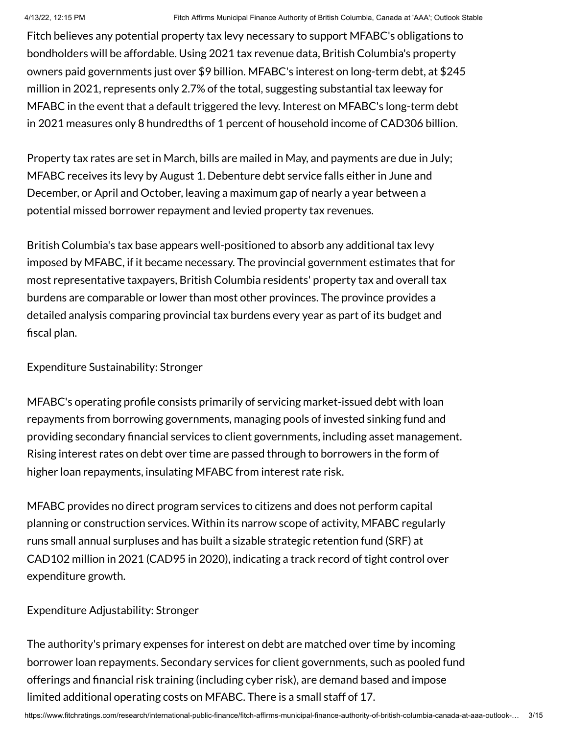Fitch believes any potential property tax levy necessary to support MFABC's obligations to bondholders will be affordable. Using 2021 tax revenue data, British Columbia's property owners paid governments just over \$9 billion. MFABC's interest on long-term debt, at \$245 million in 2021, represents only 2.7% of the total, suggesting substantial tax leeway for MFABC in the event that a default triggered the levy. Interest on MFABC's long-term debt in 2021 measures only 8 hundredths of 1 percent of household income of CAD306 billion.

Property tax rates are set in March, bills are mailed in May, and payments are due in July; MFABC receives its levy by August 1. Debenture debt service falls either in June and December, or April and October, leaving a maximum gap of nearly a year between a potential missed borrower repayment and levied property tax revenues.

British Columbia's tax base appears well-positioned to absorb any additional tax levy imposed by MFABC, if it became necessary. The provincial government estimates that for most representative taxpayers, British Columbia residents' property tax and overall tax burdens are comparable or lower than most other provinces. The province provides a detailed analysis comparing provincial tax burdens every year as part of its budget and fiscal plan.

Expenditure Sustainability: Stronger

MFABC's operating profile consists primarily of servicing market-issued debt with loan repayments from borrowing governments, managing pools of invested sinking fund and providing secondary financial services to client governments, including asset management. Rising interest rates on debt over time are passed through to borrowers in the form of higher loan repayments, insulating MFABC from interest rate risk.

MFABC provides no direct program services to citizens and does not perform capital planning or construction services. Within its narrow scope of activity, MFABC regularly runs small annual surpluses and has built a sizable strategic retention fund (SRF) at CAD102 million in 2021 (CAD95 in 2020), indicating a track record of tight control over expenditure growth.

# Expenditure Adjustability: Stronger

The authority's primary expenses for interest on debt are matched over time by incoming borrower loan repayments. Secondary services for client governments, such as pooled fund offerings and financial risk training (including cyber risk), are demand based and impose limited additional operating costs on MFABC. There is a small staff of 17.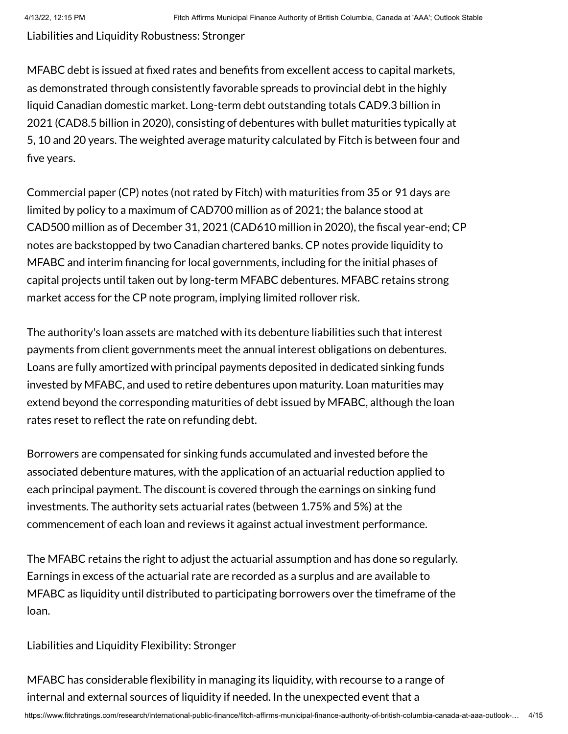Liabilities and Liquidity Robustness: Stronger

MFABC debt is issued at fixed rates and benefits from excellent access to capital markets, as demonstrated through consistently favorable spreads to provincial debt in the highly liquid Canadian domestic market. Long-term debt outstanding totals CAD9.3 billion in 2021 (CAD8.5 billion in 2020), consisting of debentures with bullet maturities typically at 5, 10 and 20 years. The weighted average maturity calculated by Fitch is between four and five years.

Commercial paper (CP) notes (not rated by Fitch) with maturities from 35 or 91 days are limited by policy to a maximum of CAD700 million as of 2021; the balance stood at CAD500 million as of December 31, 2021 (CAD610 million in 2020), the fiscal year-end; CP notes are backstopped by two Canadian chartered banks. CP notes provide liquidity to MFABC and interim financing for local governments, including for the initial phases of capital projects until taken out by long-term MFABC debentures. MFABC retains strong market access for the CP note program, implying limited rollover risk.

The authority's loan assets are matched with its debenture liabilities such that interest payments from client governments meet the annual interest obligations on debentures. Loans are fully amortized with principal payments deposited in dedicated sinking funds invested by MFABC, and used to retire debentures upon maturity. Loan maturities may extend beyond the corresponding maturities of debt issued by MFABC, although the loan rates reset to reflect the rate on refunding debt.

Borrowers are compensated for sinking funds accumulated and invested before the associated debenture matures, with the application of an actuarial reduction applied to each principal payment. The discount is covered through the earnings on sinking fund investments. The authority sets actuarial rates (between 1.75% and 5%) at the commencement of each loan and reviews it against actual investment performance.

The MFABC retains the right to adjust the actuarial assumption and has done so regularly. Earnings in excess of the actuarial rate are recorded as a surplus and are available to MFABC as liquidity until distributed to participating borrowers over the timeframe of the loan.

#### Liabilities and Liquidity Flexibility: Stronger

MFABC has considerable flexibility in managing its liquidity, with recourse to a range of internal and external sources of liquidity if needed. In the unexpected event that a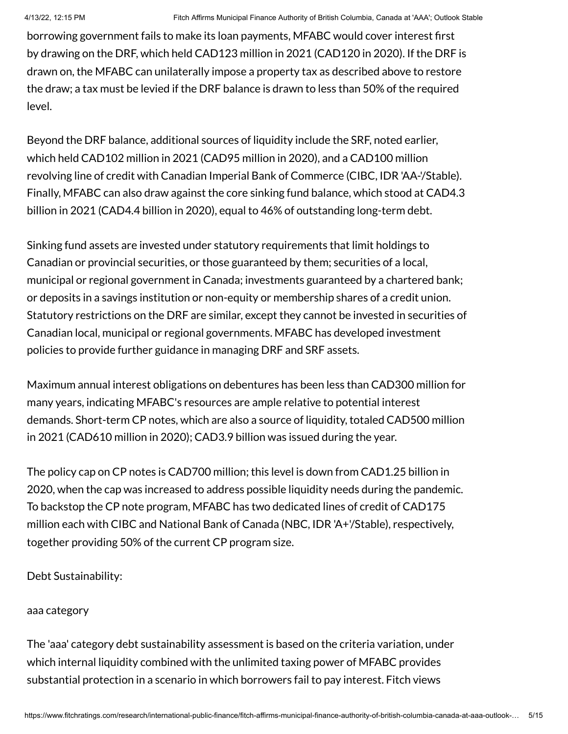borrowing government fails to make its loan payments, MFABC would cover interest first by drawing on the DRF, which held CAD123 million in 2021 (CAD120 in 2020). If the DRF is drawn on, the MFABC can unilaterally impose a property tax as described above to restore the draw; a tax must be levied if the DRF balance is drawn to less than 50% of the required level.

Beyond the DRF balance, additional sources of liquidity include the SRF, noted earlier, which held CAD102 million in 2021 (CAD95 million in 2020), and a CAD100 million revolving line of credit with Canadian Imperial Bank of Commerce (CIBC, IDR 'AA-'/Stable). Finally, MFABC can also draw against the core sinking fund balance, which stood at CAD4.3 billion in 2021 (CAD4.4 billion in 2020), equal to 46% of outstanding long-term debt.

Sinking fund assets are invested under statutory requirements that limit holdings to Canadian or provincial securities, or those guaranteed by them; securities of a local, municipal or regional government in Canada; investments guaranteed by a chartered bank; or deposits in a savings institution or non-equity or membership shares of a credit union. Statutory restrictions on the DRF are similar, except they cannot be invested in securities of Canadian local, municipal or regional governments. MFABC has developed investment policies to provide further guidance in managing DRF and SRF assets.

Maximum annual interest obligations on debentures has been less than CAD300 million for many years, indicating MFABC's resources are ample relative to potential interest demands. Short-term CP notes, which are also a source of liquidity, totaled CAD500 million in 2021 (CAD610 million in 2020); CAD3.9 billion was issued during the year.

The policy cap on CP notes is CAD700 million; this level is down from CAD1.25 billion in 2020, when the cap was increased to address possible liquidity needs during the pandemic. To backstop the CP note program, MFABC has two dedicated lines of credit of CAD175 million each with CIBC and National Bank of Canada (NBC, IDR 'A+'/Stable), respectively, together providing 50% of the current CP program size.

Debt Sustainability:

#### aaa category

The 'aaa' category debt sustainability assessment is based on the criteria variation, under which internal liquidity combined with the unlimited taxing power of MFABC provides substantial protection in a scenario in which borrowers fail to pay interest. Fitch views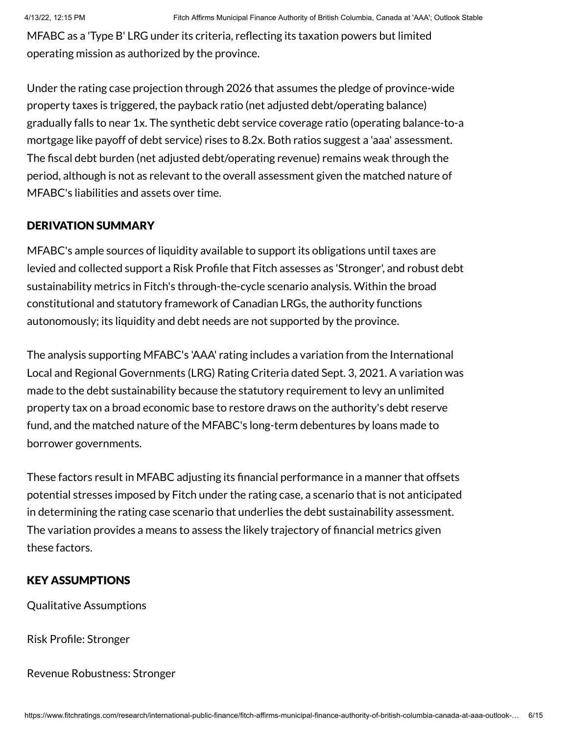MFABC as a 'Type B' LRG under its criteria, reflecting its taxation powers but limited operating mission as authorized by the province.

Under the rating case projection through 2026 that assumes the pledge of province-wide property taxes is triggered, the payback ratio (net adjusted debt/operating balance) gradually falls to near 1x. The synthetic debt service coverage ratio (operating balance-to-a mortgage like payoff of debt service) rises to 8.2x. Both ratios suggest a 'aaa' assessment. The fiscal debt burden (net adjusted debt/operating revenue) remains weak through the period, although is not as relevant to the overall assessment given the matched nature of MFABC's liabilities and assets over time.

#### DERIVATION SUMMARY

MFABC's ample sources of liquidity available to support its obligations until taxes are levied and collected support a Risk Profile that Fitch assesses as 'Stronger', and robust debt sustainability metrics in Fitch's through-the-cycle scenario analysis. Within the broad constitutional and statutory framework of Canadian LRGs, the authority functions autonomously; its liquidity and debt needs are not supported by the province.

The analysis supporting MFABC's 'AAA' rating includes a variation from the International Local and Regional Governments (LRG) Rating Criteria dated Sept. 3, 2021. A variation was made to the debt sustainability because the statutory requirement to levy an unlimited property tax on a broad economic base to restore draws on the authority's debt reserve fund, and the matched nature of the MFABC's long-term debentures by loans made to borrower governments.

These factors result in MFABC adjusting its financial performance in a manner that offsets potential stresses imposed by Fitch under the rating case, a scenario that is not anticipated in determining the rating case scenario that underlies the debt sustainability assessment. The variation provides a means to assess the likely trajectory of financial metrics given these factors.

#### KEY ASSUMPTIONS

Qualitative Assumptions

Risk Profile: Stronger

Revenue Robustness: Stronger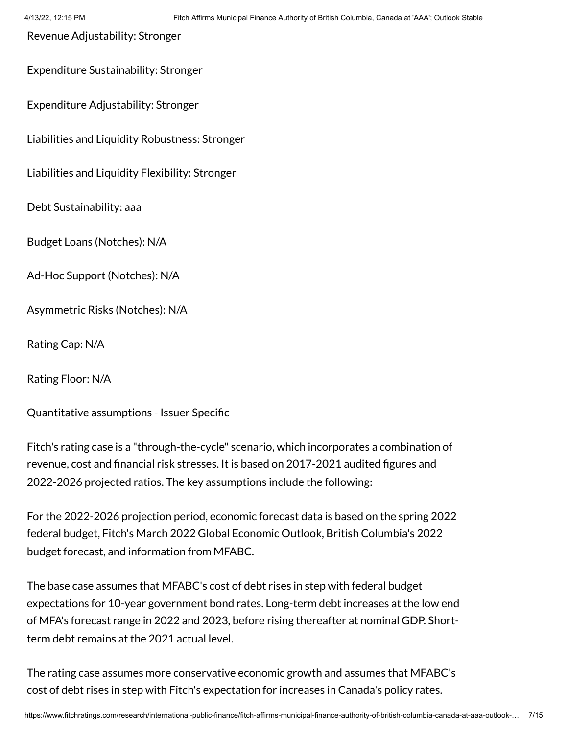Revenue Adjustability: Stronger

Expenditure Sustainability: Stronger

Expenditure Adjustability: Stronger

Liabilities and Liquidity Robustness: Stronger

Liabilities and Liquidity Flexibility: Stronger

Debt Sustainability: aaa

Budget Loans (Notches): N/A

Ad-Hoc Support (Notches): N/A

Asymmetric Risks (Notches): N/A

Rating Cap: N/A

Rating Floor: N/A

Quantitative assumptions - Issuer Specific

Fitch's rating case is a "through-the-cycle" scenario, which incorporates a combination of revenue, cost and financial risk stresses. It is based on 2017-2021 audited figures and 2022-2026 projected ratios. The key assumptions include the following:

For the 2022-2026 projection period, economic forecast data is based on the spring 2022 federal budget, Fitch's March 2022 Global Economic Outlook, British Columbia's 2022 budget forecast, and information from MFABC.

The base case assumes that MFABC's cost of debt rises in step with federal budget expectations for 10-year government bond rates. Long-term debt increases at the low end of MFA's forecast range in 2022 and 2023, before rising thereafter at nominal GDP. Shortterm debt remains at the 2021 actual level.

The rating case assumes more conservative economic growth and assumes that MFABC's cost of debt rises in step with Fitch's expectation for increases in Canada's policy rates.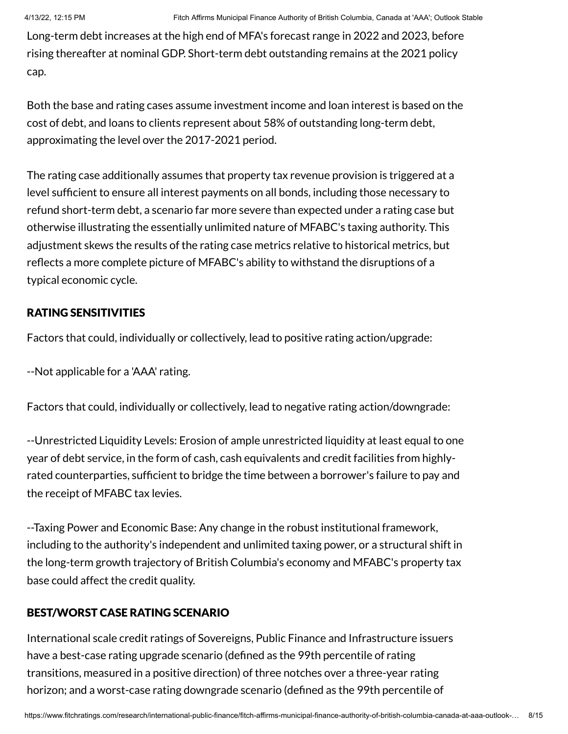Long-term debt increases at the high end of MFA's forecast range in 2022 and 2023, before rising thereafter at nominal GDP. Short-term debt outstanding remains at the 2021 policy cap.

Both the base and rating cases assume investment income and loan interest is based on the cost of debt, and loans to clients represent about 58% of outstanding long-term debt, approximating the level over the 2017-2021 period.

The rating case additionally assumes that property tax revenue provision is triggered at a level sufficient to ensure all interest payments on all bonds, including those necessary to refund short-term debt, a scenario far more severe than expected under a rating case but otherwise illustrating the essentially unlimited nature of MFABC's taxing authority. This adjustment skews the results of the rating case metrics relative to historical metrics, but reflects a more complete picture of MFABC's ability to withstand the disruptions of a typical economic cycle.

# RATING SENSITIVITIES

Factors that could, individually or collectively, lead to positive rating action/upgrade:

--Not applicable for a 'AAA' rating.

Factors that could, individually or collectively, lead to negative rating action/downgrade:

--Unrestricted Liquidity Levels: Erosion of ample unrestricted liquidity at least equal to one year of debt service, in the form of cash, cash equivalents and credit facilities from highlyrated counterparties, sufficient to bridge the time between a borrower's failure to pay and the receipt of MFABC tax levies.

--Taxing Power and Economic Base: Any change in the robust institutional framework, including to the authority's independent and unlimited taxing power, or a structural shift in the long-term growth trajectory of British Columbia's economy and MFABC's property tax base could affect the credit quality.

# BEST/WORST CASE RATING SCENARIO

International scale credit ratings of Sovereigns, Public Finance and Infrastructure issuers have a best-case rating upgrade scenario (defined as the 99th percentile of rating transitions, measured in a positive direction) of three notches over a three-year rating horizon; and a worst-case rating downgrade scenario (defined as the 99th percentile of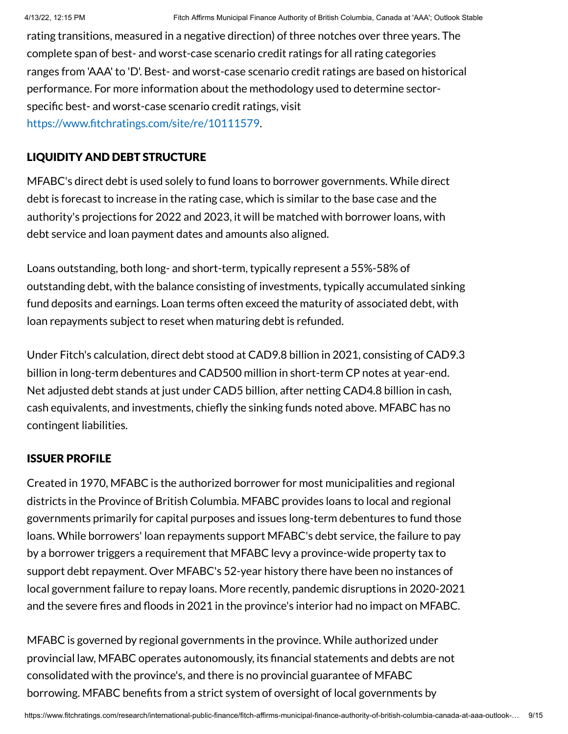rating transitions, measured in a negative direction) of three notches over three years. The complete span of best- and worst-case scenario credit ratings for all rating categories ranges from 'AAA' to 'D'. Best- and worst-case scenario credit ratings are based on historical performance. For more information about the methodology used to determine sectorspecific best- and worst-case scenario credit ratings, visit [https://www.fitchratings.com/site/re/10111579.](https://www.fitchratings.com/site/re/10111579)

#### LIQUIDITY AND DEBT STRUCTURE

MFABC's direct debt is used solely to fund loans to borrower governments. While direct debt is forecast to increase in the rating case, which is similar to the base case and the authority's projections for 2022 and 2023, it will be matched with borrower loans, with debt service and loan payment dates and amounts also aligned.

Loans outstanding, both long- and short-term, typically represent a 55%-58% of outstanding debt, with the balance consisting of investments, typically accumulated sinking fund deposits and earnings. Loan terms often exceed the maturity of associated debt, with loan repayments subject to reset when maturing debt is refunded.

Under Fitch's calculation, direct debt stood at CAD9.8 billion in 2021, consisting of CAD9.3 billion in long-term debentures and CAD500 million in short-term CP notes at year-end. Net adjusted debt stands at just under CAD5 billion, after netting CAD4.8 billion in cash, cash equivalents, and investments, chiefly the sinking funds noted above. MFABC has no contingent liabilities.

#### ISSUER PROFILE

Created in 1970, MFABC is the authorized borrower for most municipalities and regional districts in the Province of British Columbia. MFABC provides loans to local and regional governments primarily for capital purposes and issues long-term debentures to fund those loans. While borrowers' loan repayments support MFABC's debt service, the failure to pay by a borrower triggers a requirement that MFABC levy a province-wide property tax to support debt repayment. Over MFABC's 52-year history there have been no instances of local government failure to repay loans. More recently, pandemic disruptions in 2020-2021 and the severe fires and floods in 2021 in the province's interior had no impact on MFABC.

MFABC is governed by regional governments in the province. While authorized under provincial law, MFABC operates autonomously, its financial statements and debts are not consolidated with the province's, and there is no provincial guarantee of MFABC borrowing. MFABC benefits from a strict system of oversight of local governments by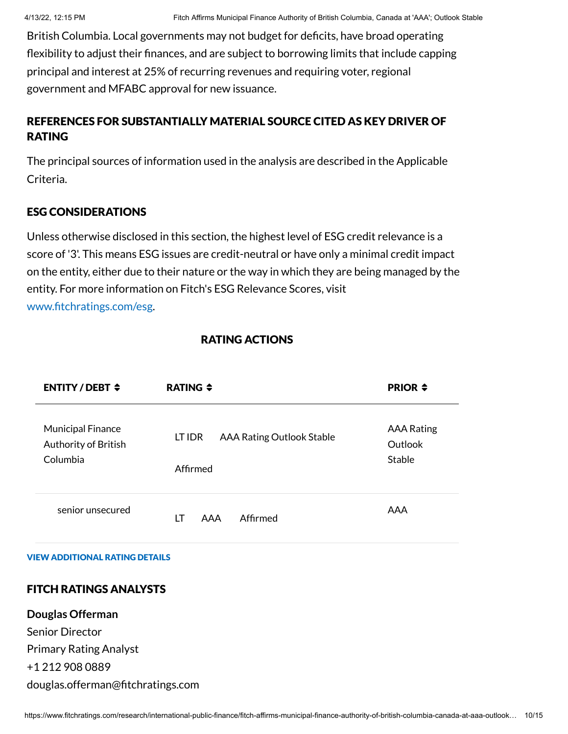British Columbia. Local governments may not budget for deficits, have broad operating flexibility to adjust their finances, and are subject to borrowing limits that include capping principal and interest at 25% of recurring revenues and requiring voter, regional government and MFABC approval for new issuance.

# REFERENCES FOR SUBSTANTIALLY MATERIAL SOURCE CITED AS KEY DRIVER OF RATING

The principal sources of information used in the analysis are described in the Applicable Criteria.

## ESG CONSIDERATIONS

Unless otherwise disclosed in this section, the highest level of ESG credit relevance is a score of '3'. This means ESG issues are credit-neutral or have only a minimal credit impact on the entity, either due to their nature or the way in which they are being managed by the entity. For more information on Fitch's ESG Relevance Scores, visit [www.fitchratings.com/esg.](http://www.fitchratings.com/esg)

## RATING ACTIONS

| ENTITY/DEBT $\div$                                           | RATING $\div$                                          | <b>PRIOR <math>\div</math></b>         |
|--------------------------------------------------------------|--------------------------------------------------------|----------------------------------------|
| <b>Municipal Finance</b><br>Authority of British<br>Columbia | <b>AAA Rating Outlook Stable</b><br>LT IDR<br>Affirmed | <b>AAA Rating</b><br>Outlook<br>Stable |
| senior unsecured                                             | Affirmed<br>LT<br>AAA                                  | AAA                                    |

#### VIEW ADDITIONAL RATING DETAILS

## FITCH RATINGS ANALYSTS

**Douglas Offerman** Senior Director Primary Rating Analyst +1 212 908 0889 douglas.offerman@fitchratings.com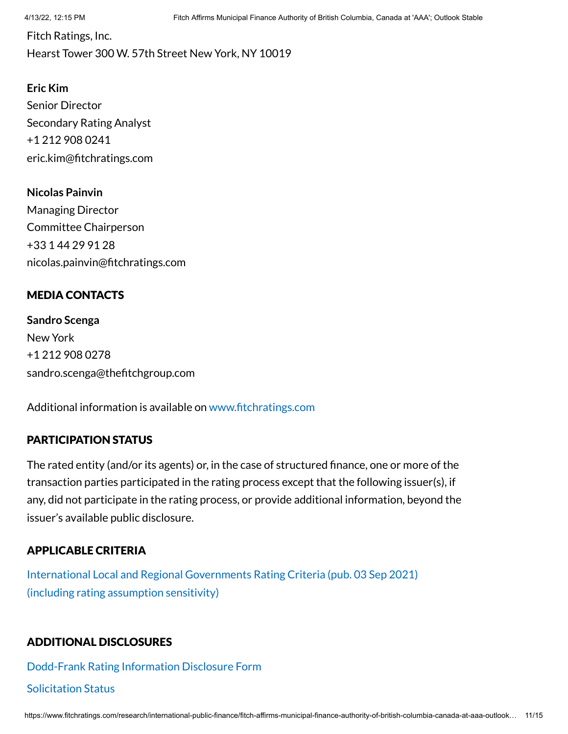Fitch Ratings, Inc. Hearst Tower 300 W. 57th Street New York, NY 10019

**Eric Kim** Senior Director Secondary Rating Analyst +1 212 908 0241 eric.kim@fitchratings.com

**Nicolas Painvin** Managing Director Committee Chairperson +33 1 44 29 91 28 nicolas.painvin@fitchratings.com

# MEDIA CONTACTS

**Sandro Scenga** New York +1 212 908 0278 sandro.scenga@thefitchgroup.com

Additional information is available on [www.fitchratings.com](http://www.fitchratings.com/)

## PARTICIPATION STATUS

The rated entity (and/or its agents) or, in the case of structured finance, one or more of the transaction parties participated in the rating process except that the following issuer(s), if any, did not participate in the rating process, or provide additional information, beyond the issuer's available public disclosure.

# APPLICABLE CRITERIA

International Local and Regional [Governments Rating](https://www.fitchratings.com/research/international-public-finance/international-local-regional-governments-rating-criteria-03-09-2021) Criteria (pub. 03 Sep 2021) (including rating assumption sensitivity)

# ADDITIONAL DISCLOSURES

[Dodd-Frank](https://www.fitchratings.com/research/international-public-finance/fitch-affirms-municipal-finance-authority-of-british-columbia-canada-at-aaa-outlook-stable-13-04-2022/dodd-frank-disclosure) Rating Information Disclosure Form

#### Solicitation Status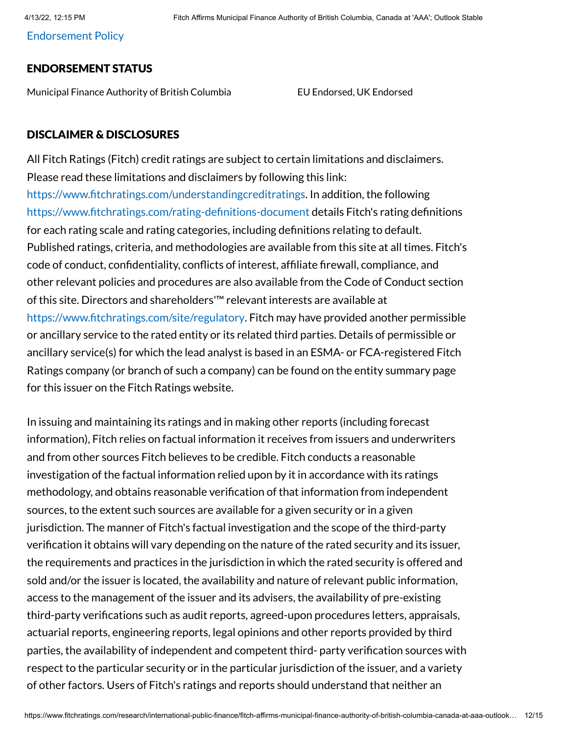[Endorsement](#page-13-0) Policy

#### ENDORSEMENT STATUS

Municipal Finance Authority of British Columbia EU Endorsed, UK Endorsed

#### DISCLAIMER & DISCLOSURES

All Fitch Ratings (Fitch) credit ratings are subject to certain limitations and disclaimers. Please read these limitations and disclaimers by following this link: [https://www.fitchratings.com/understandingcreditratings](https://www.fitchratings.com/UNDERSTANDINGCREDITRATINGS). In addition, the following [https://www.fitchratings.com/rating-definitions-document](https://www.fitchratings.com/RATING-DEFINITIONS-DOCUMENT) details Fitch's rating definitions for each rating scale and rating categories, including definitions relating to default. Published ratings, criteria, and methodologies are available from this site at all times. Fitch's code of conduct, confidentiality, conflicts of interest, affiliate firewall, compliance, and other relevant policies and procedures are also available from the Code of Conduct section of this site. Directors and shareholders'™ relevant interests are available at [https://www.fitchratings.com/site/regulatory.](https://www.fitchratings.com/SITE/REGULATORY) Fitch may have provided another permissible or ancillary service to the rated entity or its related third parties. Details of permissible or ancillary service(s) for which the lead analyst is based in an ESMA- or FCA-registered Fitch Ratings company (or branch of such a company) can be found on the entity summary page for this issuer on the Fitch Ratings website.

In issuing and maintaining its ratings and in making other reports (including forecast information), Fitch relies on factual information it receives from issuers and underwriters and from other sources Fitch believes to be credible. Fitch conducts a reasonable investigation of the factual information relied upon by it in accordance with its ratings methodology, and obtains reasonable verification of that information from independent sources, to the extent such sources are available for a given security or in a given jurisdiction. The manner of Fitch's factual investigation and the scope of the third-party verification it obtains will vary depending on the nature of the rated security and its issuer, the requirements and practices in the jurisdiction in which the rated security is offered and sold and/or the issuer is located, the availability and nature of relevant public information, access to the management of the issuer and its advisers, the availability of pre-existing third-party verifications such as audit reports, agreed-upon procedures letters, appraisals, actuarial reports, engineering reports, legal opinions and other reports provided by third parties, the availability of independent and competent third- party verification sources with respect to the particular security or in the particular jurisdiction of the issuer, and a variety of other factors. Users of Fitch's ratings and reports should understand that neither an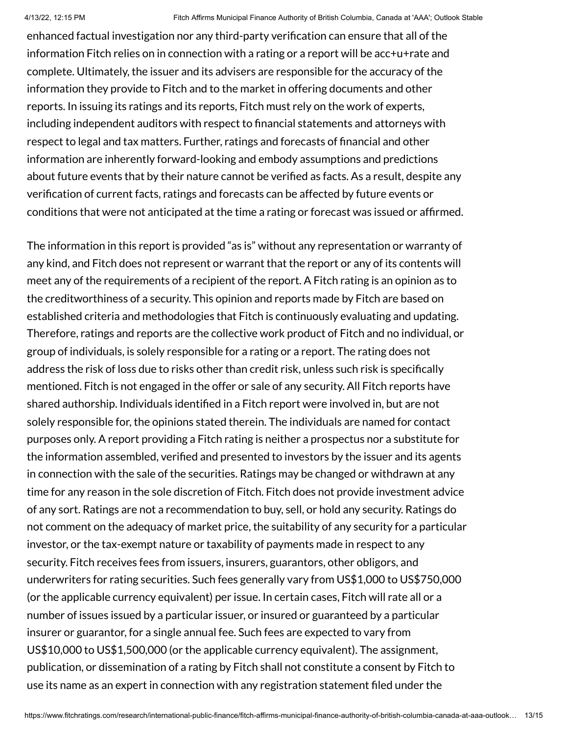enhanced factual investigation nor any third-party verification can ensure that all of the information Fitch relies on in connection with a rating or a report will be acc+u+rate and complete. Ultimately, the issuer and its advisers are responsible for the accuracy of the information they provide to Fitch and to the market in offering documents and other reports. In issuing its ratings and its reports, Fitch must rely on the work of experts, including independent auditors with respect to financial statements and attorneys with respect to legal and tax matters. Further, ratings and forecasts of financial and other information are inherently forward-looking and embody assumptions and predictions about future events that by their nature cannot be verified as facts. As a result, despite any verification of current facts, ratings and forecasts can be affected by future events or conditions that were not anticipated at the time a rating or forecast was issued or affirmed.

The information in this report is provided "as is" without any representation or warranty of any kind, and Fitch does not represent or warrant that the report or any of its contents will meet any of the requirements of a recipient of the report. A Fitch rating is an opinion as to the creditworthiness of a security. This opinion and reports made by Fitch are based on established criteria and methodologies that Fitch is continuously evaluating and updating. Therefore, ratings and reports are the collective work product of Fitch and no individual, or group of individuals, is solely responsible for a rating or a report. The rating does not address the risk of loss due to risks other than credit risk, unless such risk is specifically mentioned. Fitch is not engaged in the offer or sale of any security. All Fitch reports have shared authorship. Individuals identified in a Fitch report were involved in, but are not solely responsible for, the opinions stated therein. The individuals are named for contact purposes only. A report providing a Fitch rating is neither a prospectus nor a substitute for the information assembled, verified and presented to investors by the issuer and its agents in connection with the sale of the securities. Ratings may be changed or withdrawn at any time for any reason in the sole discretion of Fitch. Fitch does not provide investment advice of any sort. Ratings are not a recommendation to buy, sell, or hold any security. Ratings do not comment on the adequacy of market price, the suitability of any security for a particular investor, or the tax-exempt nature or taxability of payments made in respect to any security. Fitch receives fees from issuers, insurers, guarantors, other obligors, and underwriters for rating securities. Such fees generally vary from US\$1,000 to US\$750,000 (or the applicable currency equivalent) per issue. In certain cases, Fitch will rate all or a number of issues issued by a particular issuer, or insured or guaranteed by a particular insurer or guarantor, for a single annual fee. Such fees are expected to vary from US\$10,000 to US\$1,500,000 (or the applicable currency equivalent). The assignment, publication, or dissemination of a rating by Fitch shall not constitute a consent by Fitch to use its name as an expert in connection with any registration statement filed under the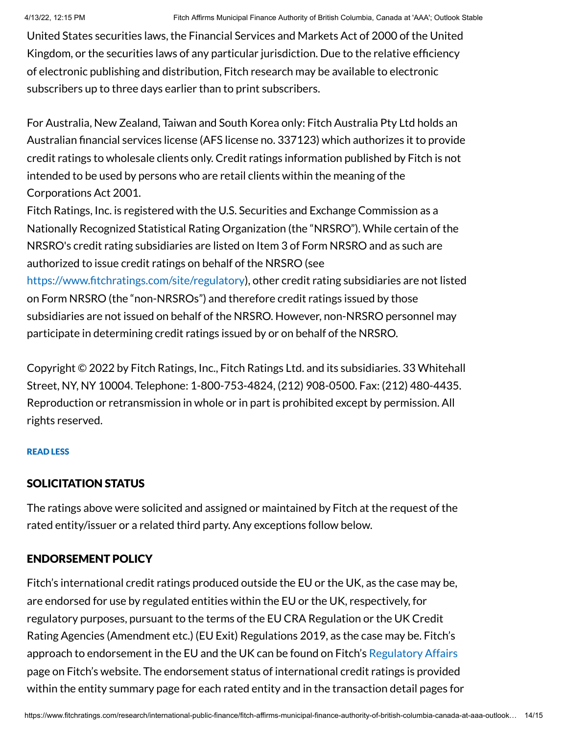United States securities laws, the Financial Services and Markets Act of 2000 of the United Kingdom, or the securities laws of any particular jurisdiction. Due to the relative efficiency of electronic publishing and distribution, Fitch research may be available to electronic subscribers up to three days earlier than to print subscribers.

For Australia, New Zealand, Taiwan and South Korea only: Fitch Australia Pty Ltd holds an Australian financial services license (AFS license no. 337123) which authorizes it to provide credit ratings to wholesale clients only. Credit ratings information published by Fitch is not intended to be used by persons who are retail clients within the meaning of the Corporations Act 2001.

Fitch Ratings, Inc. is registered with the U.S. Securities and Exchange Commission as a Nationally Recognized Statistical Rating Organization (the "NRSRO"). While certain of the NRSRO's credit rating subsidiaries are listed on Item 3 of Form NRSRO and as such are authorized to issue credit ratings on behalf of the NRSRO (see [https://www.fitchratings.com/site/regulatory\)](https://www.fitchratings.com/site/regulatory), other credit rating subsidiaries are not listed on Form NRSRO (the "non-NRSROs") and therefore credit ratings issued by those subsidiaries are not issued on behalf of the NRSRO. However, non-NRSRO personnel may participate in determining credit ratings issued by or on behalf of the NRSRO.

Copyright © 2022 by Fitch Ratings, Inc., Fitch Ratings Ltd. and its subsidiaries. 33 Whitehall Street, NY, NY 10004. Telephone: 1-800-753-4824, (212) 908-0500. Fax: (212) 480-4435. Reproduction or retransmission in whole or in part is prohibited except by permission. All rights reserved.

#### READ LESS

#### SOLICITATION STATUS

The ratings above were solicited and assigned or maintained by Fitch at the request of the rated entity/issuer or a related third party. Any exceptions follow below.

# <span id="page-13-0"></span>ENDORSEMENT POLICY

Fitch's international credit ratings produced outside the EU or the UK, as the case may be, are endorsed for use by regulated entities within the EU or the UK, respectively, for regulatory purposes, pursuant to the terms of the EU CRA Regulation or the UK Credit Rating Agencies (Amendment etc.) (EU Exit) Regulations 2019, as the case may be. Fitch's approach to endorsement in the EU and the UK can be found on Fitch's [Regulatory](https://www.fitchratings.com/regulatory) Affairs page on Fitch's website. The endorsement status of international credit ratings is provided within the entity summary page for each rated entity and in the transaction detail pages for